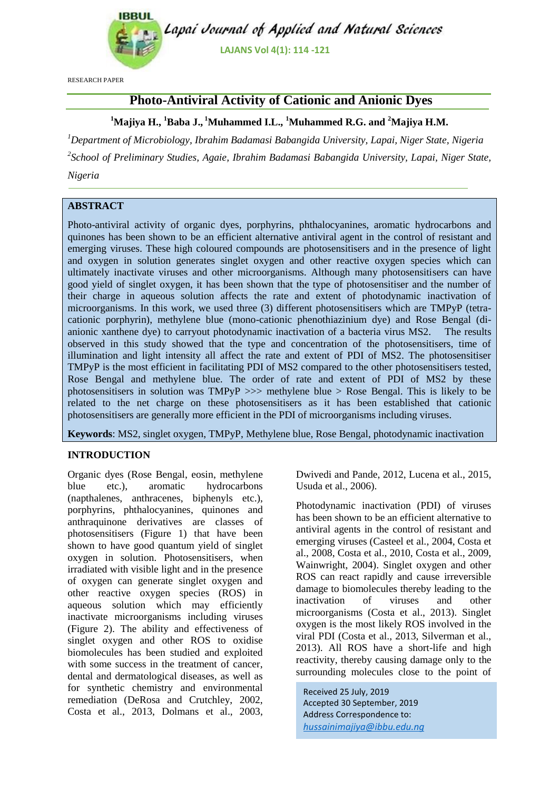

RESEARCH PAPER

# **Photo-Antiviral Activity of Cationic and Anionic Dyes**

**<sup>1</sup>Majiya H., <sup>1</sup>Baba J., <sup>1</sup>Muhammed I.L., <sup>1</sup>Muhammed R.G. and <sup>2</sup>Majiya H.M.**

*<sup>1</sup>Department of Microbiology, Ibrahim Badamasi Babangida University, Lapai, Niger State, Nigeria 2 School of Preliminary Studies, Agaie, Ibrahim Badamasi Babangida University, Lapai, Niger State, Nigeria*

## **ABSTRACT**

Photo-antiviral activity of organic dyes, porphyrins, phthalocyanines, aromatic hydrocarbons and quinones has been shown to be an efficient alternative antiviral agent in the control of resistant and emerging viruses. These high coloured compounds are photosensitisers and in the presence of light and oxygen in solution generates singlet oxygen and other reactive oxygen species which can ultimately inactivate viruses and other microorganisms. Although many photosensitisers can have good yield of singlet oxygen, it has been shown that the type of photosensitiser and the number of their charge in aqueous solution affects the rate and extent of photodynamic inactivation of microorganisms. In this work, we used three (3) different photosensitisers which are TMPyP (tetracationic porphyrin), methylene blue (mono-cationic phenothiazinium dye) and Rose Bengal (dianionic xanthene dye) to carryout photodynamic inactivation of a bacteria virus MS2. The results observed in this study showed that the type and concentration of the photosensitisers, time of illumination and light intensity all affect the rate and extent of PDI of MS2. The photosensitiser TMPyP is the most efficient in facilitating PDI of MS2 compared to the other photosensitisers tested, Rose Bengal and methylene blue. The order of rate and extent of PDI of MS2 by these photosensitisers in solution was  $TMPyP \gg\gg$  methylene blue  $>$  Rose Bengal. This is likely to be related to the net charge on these photosensitisers as it has been established that cationic photosensitisers are generally more efficient in the PDI of microorganisms including viruses.

**Keywords**: MS2, singlet oxygen, TMPyP, Methylene blue, Rose Bengal, photodynamic inactivation

### **INTRODUCTION**

Organic dyes (Rose Bengal, eosin, methylene blue etc.), aromatic hydrocarbons (napthalenes, anthracenes, biphenyls etc.), porphyrins, phthalocyanines, quinones and anthraquinone derivatives are classes of photosensitisers (Figure 1) that have been shown to have good quantum yield of singlet oxygen in solution. Photosensitisers, when irradiated with visible light and in the presence of oxygen can generate singlet oxygen and other reactive oxygen species (ROS) in aqueous solution which may efficiently inactivate microorganisms including viruses (Figure 2). The ability and effectiveness of singlet oxygen and other ROS to oxidise biomolecules has been studied and exploited with some success in the treatment of cancer, dental and dermatological diseases, as well as for synthetic chemistry and environmental remediation (DeRosa and Crutchley, 2002, Costa et al., 2013, Dolmans et al., 2003,

Dwivedi and Pande, 2012, Lucena et al., 2015, Usuda et al., 2006).

Photodynamic inactivation (PDI) of viruses has been shown to be an efficient alternative to antiviral agents in the control of resistant and emerging viruses (Casteel et al., 2004, Costa et al., 2008, Costa et al., 2010, Costa et al., 2009, Wainwright, 2004). Singlet oxygen and other ROS can react rapidly and cause irreversible damage to biomolecules thereby leading to the inactivation of viruses and other microorganisms (Costa et al., 2013). Singlet oxygen is the most likely ROS involved in the viral PDI (Costa et al., 2013, Silverman et al., 2013). All ROS have a short-life and high reactivity, thereby causing damage only to the surrounding molecules close to the point of

Received 25 July, 2019 Accepted 30 September, 2019 Address Correspondence to: *hussainimajiya@ibbu.edu.ng*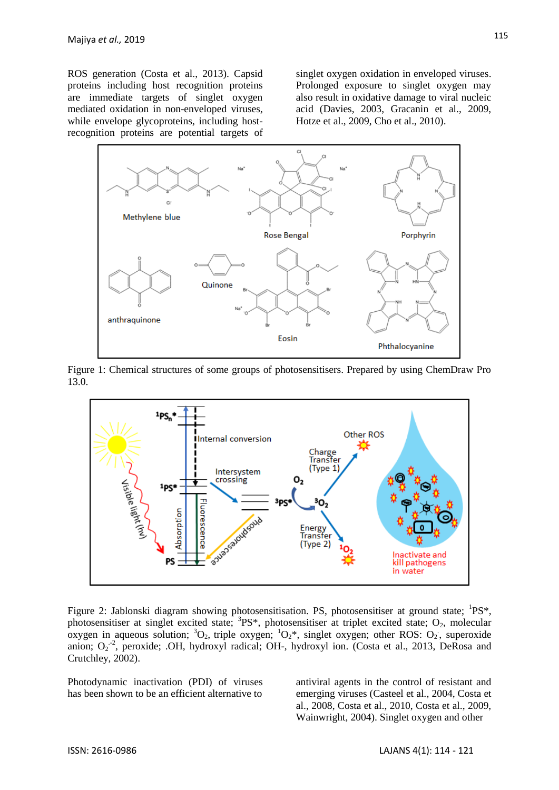ROS generation (Costa et al., 2013). Capsid proteins including host recognition proteins are immediate targets of singlet oxygen mediated oxidation in non-enveloped viruses, while envelope glycoproteins, including hostrecognition proteins are potential targets of singlet oxygen oxidation in enveloped viruses. Prolonged exposure to singlet oxygen may also result in oxidative damage to viral nucleic acid (Davies, 2003, Gracanin et al., 2009, Hotze et al., 2009, Cho et al., 2010).



Figure 1: Chemical structures of some groups of photosensitisers. Prepared by using ChemDraw Pro 13.0.



Figure 2: Jablonski diagram showing photosensitisation. PS, photosensitiser at ground state;  ${}^{1}PS*$ , photosensitiser at singlet excited state;  ${}^{3}P S^*$ , photosensitiser at triplet excited state; O<sub>2</sub>, molecular oxygen in aqueous solution;  ${}^{3}O_{2}$ , triple oxygen;  ${}^{1}O_{2}$ \*, singlet oxygen; other ROS:  $O_{2}$ , superoxide anion; O<sub>2</sub><sup>-2</sup>, peroxide; .OH, hydroxyl radical; OH-, hydroxyl ion. [\(Costa et al., 2013,](#page-6-0) DeRosa and [Crutchley, 2002\)](#page-6-1).

Photodynamic inactivation (PDI) of viruses has been shown to be an efficient alternative to

antiviral agents in the control of resistant and emerging viruses (Casteel et al., 2004, Costa et al., 2008, Costa et al., 2010, Costa et al., 2009, Wainwright, 2004). Singlet oxygen and other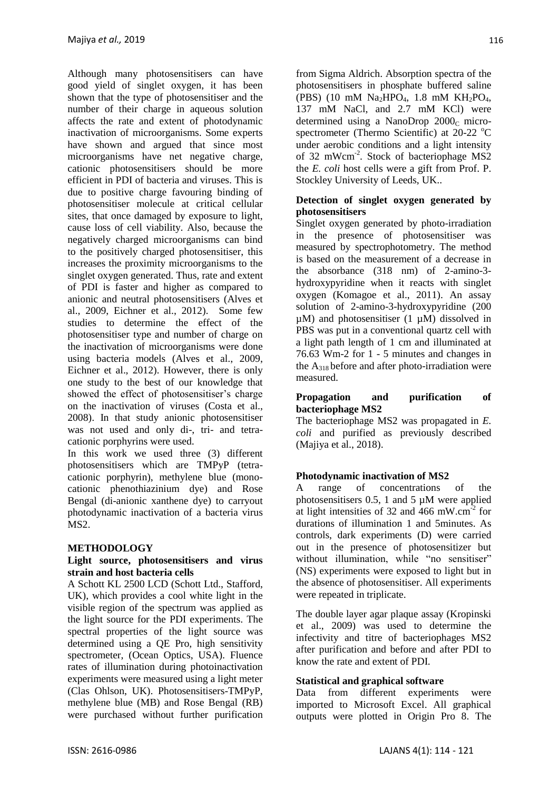Although many photosensitisers can have good yield of singlet oxygen, it has been shown that the type of photosensitiser and the number of their charge in aqueous solution affects the rate and extent of photodynamic inactivation of microorganisms. Some experts have shown and argued that since most microorganisms have net negative charge, cationic photosensitisers should be more efficient in PDI of bacteria and viruses. This is due to positive charge favouring binding of photosensitiser molecule at critical cellular sites, that once damaged by exposure to light, cause loss of cell viability. Also, because the negatively charged microorganisms can bind to the positively charged photosensitiser, this increases the proximity microorganisms to the singlet oxygen generated. Thus, rate and extent of PDI is faster and higher as compared to anionic and neutral photosensitisers [\(Alves et](#page-6-2)  [al., 2009,](#page-6-2) Eichner et al., 2012). Some few studies to determine the effect of the photosensitiser type and number of charge on the inactivation of microorganisms were done using bacteria models [\(Alves et al., 2009,](#page-6-2) Eichner et al., 2012). However, there is only one study to the best of our knowledge that showed the effect of photosensitiser's charge on the inactivation of viruses (Costa et al., 2008). In that study anionic photosensitiser was not used and only di-, tri- and tetracationic porphyrins were used.

In this work we used three (3) different photosensitisers which are TMPyP (tetracationic porphyrin), methylene blue (monocationic phenothiazinium dye) and Rose Bengal (di-anionic xanthene dye) to carryout photodynamic inactivation of a bacteria virus MS2.

## **METHODOLOGY**

#### **Light source, photosensitisers and virus strain and host bacteria cells**

A Schott KL 2500 LCD (Schott Ltd., Stafford, UK), which provides a cool white light in the visible region of the spectrum was applied as the light source for the PDI experiments. The spectral properties of the light source was determined using a QE Pro, high sensitivity spectrometer, (Ocean Optics, USA). Fluence rates of illumination during photoinactivation experiments were measured using a light meter (Clas Ohlson, UK). Photosensitisers-TMPyP, methylene blue (MB) and Rose Bengal (RB) were purchased without further purification from Sigma Aldrich. Absorption spectra of the photosensitisers in phosphate buffered saline (PBS) (10 mM Na<sub>2</sub>HPO<sub>4</sub>, 1.8 mM KH<sub>2</sub>PO<sub>4</sub>, 137 mM NaCl, and 2.7 mM KCl) were determined using a NanoDrop  $2000<sub>c</sub>$  microspectrometer (Thermo Scientific) at  $20-22$  °C under aerobic conditions and a light intensity of 32 mWcm<sup>-2</sup>. Stock of bacteriophage MS2 the *E. coli* host cells were a gift from Prof. P. Stockley University of Leeds, UK..

### **Detection of singlet oxygen generated by photosensitisers**

Singlet oxygen generated by photo-irradiation in the presence of photosensitiser was measured by spectrophotometry. The method is based on the measurement of a decrease in the absorbance (318 nm) of 2-amino-3 hydroxypyridine when it reacts with singlet oxygen (Komagoe et al., 2011). An assay solution of 2-amino-3-hydroxypyridine (200  $\mu$ M) and photosensitiser (1  $\mu$ M) dissolved in PBS was put in a conventional quartz cell with a light path length of 1 cm and illuminated at 76.63 Wm-2 for 1 - 5 minutes and changes in the  $A_{318}$  before and after photo-irradiation were measured.

### **Propagation and purification of bacteriophage MS2**

The bacteriophage MS2 was propagated in *E. coli* and purified as previously described [\(Majiya et al., 2018\)](#page-6-0).

## **Photodynamic inactivation of MS2**

A range of concentrations of the photosensitisers 0.5, 1 and 5 µM were applied at light intensities of 32 and 466 mW.cm<sup>-2</sup> for durations of illumination 1 and 5minutes. As controls, dark experiments (D) were carried out in the presence of photosensitizer but without illumination, while "no sensitiser" (NS) experiments were exposed to light but in the absence of photosensitiser. All experiments were repeated in triplicate.

The double layer agar plaque assay [\(Kropinski](#page-6-3)  [et al., 2009\)](#page-6-3) was used to determine the infectivity and titre of bacteriophages MS2 after purification and before and after PDI to know the rate and extent of PDI.

### **Statistical and graphical software**

Data from different experiments were imported to Microsoft Excel. All graphical outputs were plotted in Origin Pro 8. The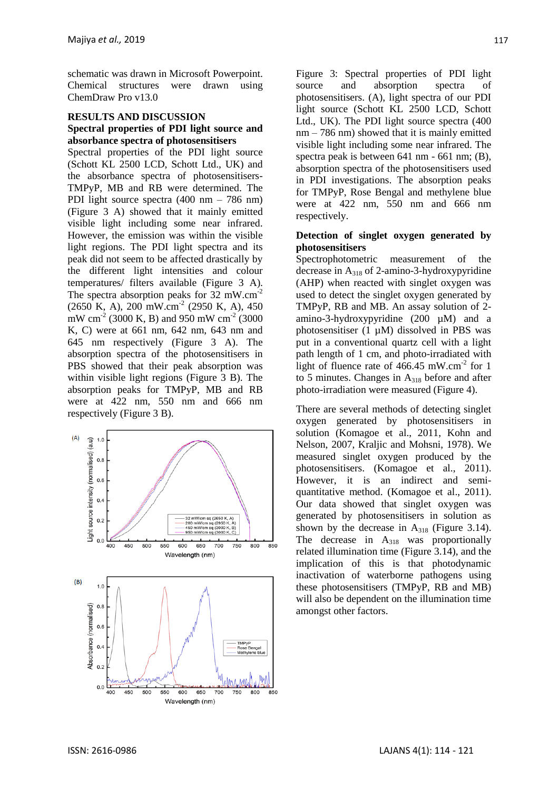schematic was drawn in Microsoft Powerpoint. Chemical structures were drawn using ChemDraw Pro v13.0

### **RESULTS AND DISCUSSION Spectral properties of PDI light source and absorbance spectra of photosensitisers**

Spectral properties of the PDI light source (Schott KL 2500 LCD, Schott Ltd., UK) and the absorbance spectra of photosensitisers-TMPyP, MB and RB were determined. The PDI light source spectra (400 nm – 786 nm) (Figure 3 A) showed that it mainly emitted visible light including some near infrared. However, the emission was within the visible light regions. The PDI light spectra and its peak did not seem to be affected drastically by the different light intensities and colour temperatures/ filters available (Figure 3 A). The spectra absorption peaks for  $32 \text{ mW.cm}^{-2}$ (2650 K, A), 200 mW.cm-2 (2950 K, A), 450 mW cm<sup>-2</sup> (3000 K, B) and 950 mW cm<sup>-2</sup> (3000 K, C) were at 661 nm, 642 nm, 643 nm and 645 nm respectively (Figure 3 A). The absorption spectra of the photosensitisers in PBS showed that their peak absorption was within visible light regions (Figure 3 B). The absorption peaks for TMPyP, MB and RB were at 422 nm, 550 nm and 666 nm respectively (Figure 3 B).



Figure 3: Spectral properties of PDI light source and absorption spectra of photosensitisers. (A), light spectra of our PDI light source (Schott KL 2500 LCD, Schott Ltd., UK). The PDI light source spectra (400 nm – 786 nm) showed that it is mainly emitted visible light including some near infrared. The spectra peak is between 641 nm - 661 nm; (B), absorption spectra of the photosensitisers used in PDI investigations. The absorption peaks for TMPyP, Rose Bengal and methylene blue were at 422 nm, 550 nm and 666 nm respectively.

### **Detection of singlet oxygen generated by photosensitisers**

Spectrophotometric measurement of the decrease in A<sup>318</sup> of 2-amino-3-hydroxypyridine (AHP) when reacted with singlet oxygen was used to detect the singlet oxygen generated by TMPyP, RB and MB. An assay solution of 2 amino-3-hydroxypyridine (200 µM) and a photosensitiser  $(1 \mu M)$  dissolved in PBS was put in a conventional quartz cell with a light path length of 1 cm, and photo-irradiated with light of fluence rate of  $466.45$  mW.cm<sup>-2</sup> for 1 to 5 minutes. Changes in  $A_{318}$  before and after photo-irradiation were measured (Figure 4).

There are several methods of detecting singlet oxygen generated by photosensitisers in solution [\(Komagoe et al., 2011,](#page-7-0) [Kohn and](#page-6-4)  [Nelson, 2007,](#page-6-4) [Kraljic and Mohsni, 1978\)](#page-7-1). We measured singlet oxygen produced by the photosensitisers. [\(Komagoe et al., 2011\)](#page-7-0). However, it is an indirect and semiquantitative method. [\(Komagoe et al., 2011\)](#page-7-0). Our data showed that singlet oxygen was generated by photosensitisers in solution as shown by the decrease in  $A_{318}$  (Figure 3.14). The decrease in  $A_{318}$  was proportionally related illumination time (Figure 3.14), and the implication of this is that photodynamic inactivation of waterborne pathogens using these photosensitisers (TMPyP, RB and MB) will also be dependent on the illumination time amongst other factors.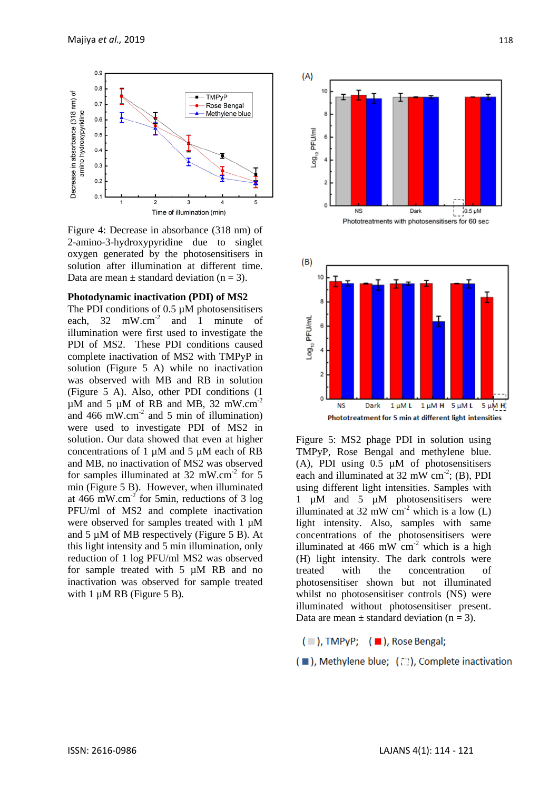

Figure 4: Decrease in absorbance (318 nm) of 2-amino-3-hydroxypyridine due to singlet oxygen generated by the photosensitisers in solution after illumination at different time. Data are mean  $\pm$  standard deviation (n = 3).

#### **Photodynamic inactivation (PDI) of MS2**

The PDI conditions of 0.5  $\mu$ M photosensitisers each,  $32 \text{ mW.cm}^2$  and 1 minute of illumination were first used to investigate the PDI of MS2. These PDI conditions caused complete inactivation of MS2 with TMPyP in solution (Figure 5 A) while no inactivation was observed with MB and RB in solution (Figure 5 A). Also, other PDI conditions (1  $\mu$ M and 5  $\mu$ M of RB and MB, 32 mW.cm<sup>-2</sup> and 466 mW.cm<sup>-2</sup> and 5 min of illumination) were used to investigate PDI of MS2 in solution. Our data showed that even at higher concentrations of 1  $\mu$ M and 5  $\mu$ M each of RB and MB, no inactivation of MS2 was observed for samples illuminated at  $32 \text{ mW.cm}^2$  for 5 min (Figure 5 B). However, when illuminated at  $466$  mW.cm<sup>-2</sup> for 5min, reductions of 3 log PFU/ml of MS2 and complete inactivation were observed for samples treated with 1  $\mu$ M and  $5 \mu M$  of MB respectively (Figure  $5 B$ ). At this light intensity and 5 min illumination, only reduction of 1 log PFU/ml MS2 was observed for sample treated with 5 µM RB and no inactivation was observed for sample treated with 1  $\mu$ M RB (Figure 5 B).



Figure 5: MS2 phage PDI in solution using TMPyP, Rose Bengal and methylene blue. (A), PDI using 0.5 µM of photosensitisers each and illuminated at  $32 \text{ mW cm}^2$ ; (B), PDI using different light intensities. Samples with 1 µM and 5 µM photosensitisers were illuminated at  $32 \text{ mW cm}^{-2}$  which is a low (L) light intensity. Also, samples with same concentrations of the photosensitisers were illuminated at 466 mW  $cm<sup>-2</sup>$  which is a high (H) light intensity. The dark controls were treated with the concentration of photosensitiser shown but not illuminated whilst no photosensitiser controls (NS) were illuminated without photosensitiser present. Data are mean  $\pm$  standard deviation (n = 3).

 $(\blacksquare)$ , TMPyP;  $(\blacksquare)$ , Rose Bengal;

( ), Methylene blue; ( ), Complete inactivation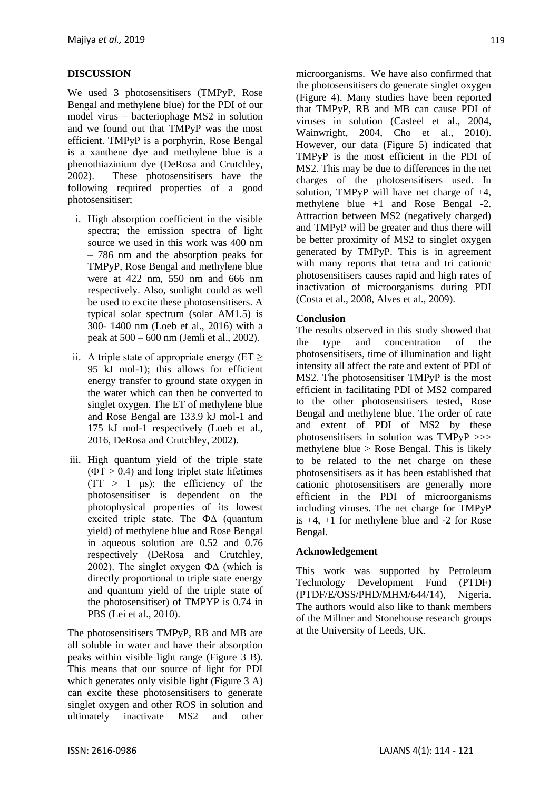## **DISCUSSION**

We used 3 photosensitisers (TMPyP, Rose Bengal and methylene blue) for the PDI of our model virus – bacteriophage MS2 in solution and we found out that TMPyP was the most efficient. TMPyP is a porphyrin, Rose Bengal is a xanthene dye and methylene blue is a phenothiazinium dye (DeRosa and Crutchley, 2002). These photosensitisers have the following required properties of a good photosensitiser;

- i. High absorption coefficient in the visible spectra; the emission spectra of light source we used in this work was 400 nm – 786 nm and the absorption peaks for TMPyP, Rose Bengal and methylene blue were at 422 nm, 550 nm and 666 nm respectively. Also, sunlight could as well be used to excite these photosensitisers. A typical solar spectrum (solar AM1.5) is 300- 1400 nm (Loeb et al., 2016) with a peak at 500 – 600 nm (Jemli et al., 2002).
- ii. A triple state of appropriate energy ( $ET \ge$ 95 kJ mol-1); this allows for efficient energy transfer to ground state oxygen in the water which can then be converted to singlet oxygen. The ET of methylene blue and Rose Bengal are 133.9 kJ mol-1 and 175 kJ mol-1 respectively (Loeb et al., 2016, DeRosa and Crutchley, 2002).
- iii. High quantum yield of the triple state  $(\Phi T > 0.4)$  and long triplet state lifetimes  $(TT > 1 \text{ }\mu\text{s})$ ; the efficiency of the photosensitiser is dependent on the photophysical properties of its lowest excited triple state. The Ф∆ (quantum yield) of methylene blue and Rose Bengal in aqueous solution are 0.52 and 0.76 respectively (DeRosa and Crutchley, 2002). The singlet oxygen  $\Phi\Delta$  (which is directly proportional to triple state energy and quantum yield of the triple state of the photosensitiser) of TMPYP is 0.74 in PBS (Lei et al., 2010).

The photosensitisers TMPyP, RB and MB are all soluble in water and have their absorption peaks within visible light range (Figure 3 B). This means that our source of light for PDI which generates only visible light (Figure 3 A) can excite these photosensitisers to generate singlet oxygen and other ROS in solution and ultimately inactivate MS2 and other

microorganisms. We have also confirmed that the photosensitisers do generate singlet oxygen (Figure 4). Many studies have been reported that TMPyP, RB and MB can cause PDI of viruses in solution [\(Casteel et al., 2004,](#page-6-5) [Wainwright, 2004,](#page-7-2) [Cho et al., 2010\)](#page-6-6). However, our data (Figure 5) indicated that TMPyP is the most efficient in the PDI of MS2. This may be due to differences in the net charges of the photosensitisers used. In solution, TMPyP will have net charge of +4, methylene blue +1 and Rose Bengal -2. Attraction between MS2 (negatively charged) and TMPyP will be greater and thus there will be better proximity of MS2 to singlet oxygen generated by TMPyP. This is in agreement with many reports that tetra and tri cationic photosensitisers causes rapid and high rates of inactivation of microorganisms during PDI [\(Costa et al., 2008,](#page-6-3) [Alves et al., 2009\)](#page-6-2).

### **Conclusion**

The results observed in this study showed that the type and concentration of the photosensitisers, time of illumination and light intensity all affect the rate and extent of PDI of MS2. The photosensitiser TMPyP is the most efficient in facilitating PDI of MS2 compared to the other photosensitisers tested, Rose Bengal and methylene blue. The order of rate and extent of PDI of MS2 by these photosensitisers in solution was TMPyP >>> methylene blue  $>$  Rose Bengal. This is likely to be related to the net charge on these photosensitisers as it has been established that cationic photosensitisers are generally more efficient in the PDI of microorganisms including viruses. The net charge for TMPyP is  $+4$ ,  $+1$  for methylene blue and  $-2$  for Rose Bengal.

### **Acknowledgement**

This work was supported by Petroleum Technology Development Fund (PTDF) [\(PTDF/E/OSS/PHD/MHM/644/14\)](https://www.sciencedirect.com/science/article/pii/S1011134417305705#gts0005), Nigeria. The authors would also like to thank members of the Millner and Stonehouse research groups at the University of Leeds, UK.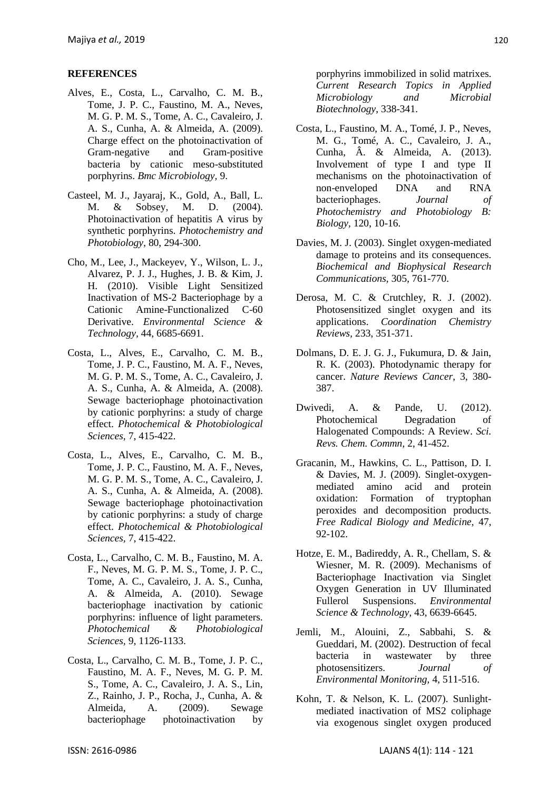#### **REFERENCES**

- <span id="page-6-2"></span>Alves, E., Costa, L., Carvalho, C. M. B., Tome, J. P. C., Faustino, M. A., Neves, M. G. P. M. S., Tome, A. C., Cavaleiro, J. A. S., Cunha, A. & Almeida, A. (2009). Charge effect on the photoinactivation of Gram-negative and Gram-positive bacteria by cationic meso-substituted porphyrins. *Bmc Microbiology,* 9.
- <span id="page-6-5"></span>Casteel, M. J., Jayaraj, K., Gold, A., Ball, L. M. & Sobsey, M. D. (2004). Photoinactivation of hepatitis A virus by synthetic porphyrins. *Photochemistry and Photobiology,* 80, 294-300.
- <span id="page-6-6"></span>Cho, M., Lee, J., Mackeyev, Y., Wilson, L. J., Alvarez, P. J. J., Hughes, J. B. & Kim, J. H. (2010). Visible Light Sensitized Inactivation of MS-2 Bacteriophage by a Cationic Amine-Functionalized C-60 Derivative. *Environmental Science & Technology,* 44, 6685-6691.
- <span id="page-6-3"></span>Costa, L., Alves, E., Carvalho, C. M. B., Tome, J. P. C., Faustino, M. A. F., Neves, M. G. P. M. S., Tome, A. C., Cavaleiro, J. A. S., Cunha, A. & Almeida, A. (2008). Sewage bacteriophage photoinactivation by cationic porphyrins: a study of charge effect. *Photochemical & Photobiological Sciences,* 7, 415-422.
- Costa, L., Alves, E., Carvalho, C. M. B., Tome, J. P. C., Faustino, M. A. F., Neves, M. G. P. M. S., Tome, A. C., Cavaleiro, J. A. S., Cunha, A. & Almeida, A. (2008). Sewage bacteriophage photoinactivation by cationic porphyrins: a study of charge effect. *Photochemical & Photobiological Sciences,* 7, 415-422.
- Costa, L., Carvalho, C. M. B., Faustino, M. A. F., Neves, M. G. P. M. S., Tome, J. P. C., Tome, A. C., Cavaleiro, J. A. S., Cunha, A. & Almeida, A. (2010). Sewage bacteriophage inactivation by cationic porphyrins: influence of light parameters. *Photochemical & Photobiological Sciences,* 9, 1126-1133.
- Costa, L., Carvalho, C. M. B., Tome, J. P. C., Faustino, M. A. F., Neves, M. G. P. M. S., Tome, A. C., Cavaleiro, J. A. S., Lin, Z., Rainho, J. P., Rocha, J., Cunha, A. & Almeida, A. (2009). Sewage bacteriophage photoinactivation by

porphyrins immobilized in solid matrixes. *Current Research Topics in Applied Microbiology and Microbial Biotechnology*, 338-341.

- <span id="page-6-0"></span>Costa, L., Faustino, M. A., Tomé, J. P., Neves, M. G., Tomé, A. C., Cavaleiro, J. A., Cunha, Â. & Almeida, A. (2013). Involvement of type I and type II mechanisms on the photoinactivation of non-enveloped DNA and RNA bacteriophages. *Journal of Photochemistry and Photobiology B: Biology,* 120, 10-16.
- Davies, M. J. (2003). Singlet oxygen-mediated damage to proteins and its consequences. *Biochemical and Biophysical Research Communications,* 305, 761-770.
- <span id="page-6-1"></span>Derosa, M. C. & Crutchley, R. J. (2002). Photosensitized singlet oxygen and its applications. *Coordination Chemistry Reviews,* 233, 351-371.
- Dolmans, D. E. J. G. J., Fukumura, D. & Jain, R. K. (2003). Photodynamic therapy for cancer. *Nature Reviews Cancer,* 3, 380- 387.
- Dwivedi, A. & Pande, U. (2012). Photochemical Degradation of Halogenated Compounds: A Review. *Sci. Revs. Chem. Commn,* 2, 41-452.
- Gracanin, M., Hawkins, C. L., Pattison, D. I. & Davies, M. J. (2009). Singlet-oxygenmediated amino acid and protein oxidation: Formation of tryptophan peroxides and decomposition products. *Free Radical Biology and Medicine,* 47, 92-102.
- Hotze, E. M., Badireddy, A. R., Chellam, S. & Wiesner, M. R. (2009). Mechanisms of Bacteriophage Inactivation via Singlet Oxygen Generation in UV Illuminated Fullerol Suspensions. *Environmental Science & Technology,* 43, 6639-6645.
- Jemli, M., Alouini, Z., Sabbahi, S. & Gueddari, M. (2002). Destruction of fecal bacteria in wastewater by three photosensitizers. *Journal of Environmental Monitoring,* 4, 511-516.
- <span id="page-6-4"></span>Kohn, T. & Nelson, K. L. (2007). Sunlightmediated inactivation of MS2 coliphage via exogenous singlet oxygen produced